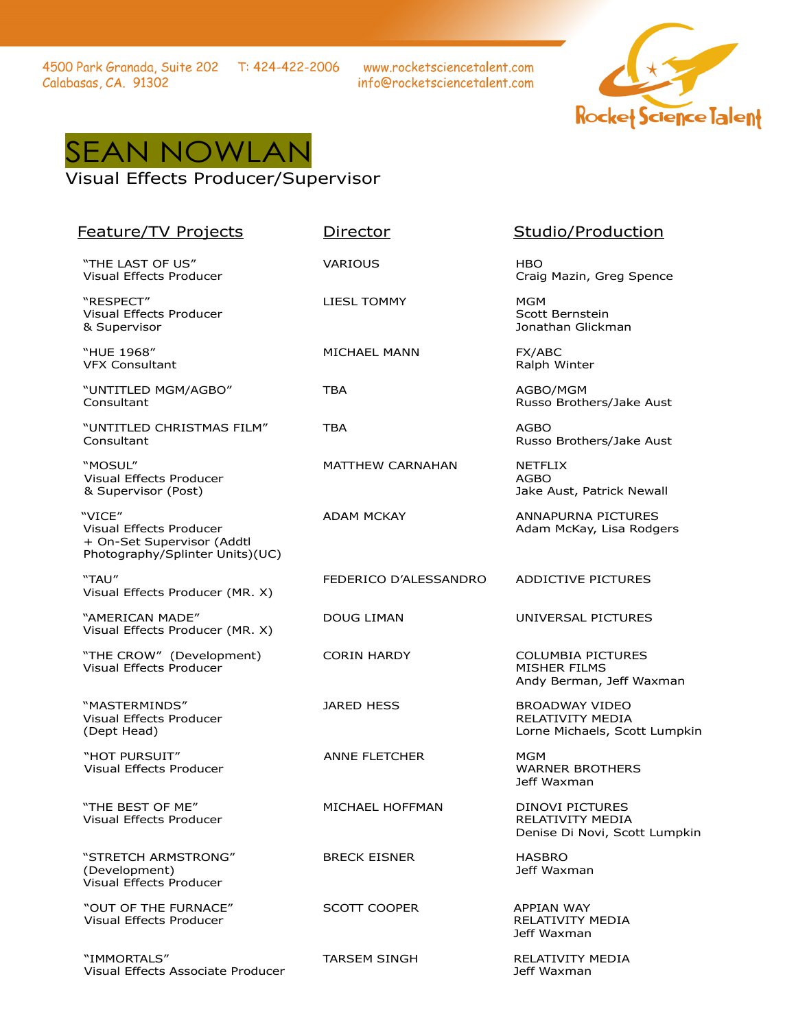4500 Park Granada, Suite 202 T: 424-422-2006 Calabasas, CA. 91302

www.rocketsciencetalent.com info@rocketsciencetalent.com





## Visual Effects Producer/Supervisor

| <b>Feature/TV Projects</b>                                                                         | <b>Director</b>         | Studio/Production                                                                 |
|----------------------------------------------------------------------------------------------------|-------------------------|-----------------------------------------------------------------------------------|
| "THE LAST OF US"<br>Visual Effects Producer                                                        | <b>VARIOUS</b>          | <b>HBO</b><br>Craig Mazin, Greg Spence                                            |
| "RESPECT"<br>Visual Effects Producer<br>& Supervisor                                               | <b>LIESL TOMMY</b>      | <b>MGM</b><br>Scott Bernstein<br>Jonathan Glickman                                |
| "HUE 1968"<br><b>VFX Consultant</b>                                                                | MICHAEL MANN            | FX/ABC<br>Ralph Winter                                                            |
| "UNTITLED MGM/AGBO"<br>Consultant                                                                  | TBA                     | AGBO/MGM<br>Russo Brothers/Jake Aust                                              |
| "UNTITLED CHRISTMAS FILM"<br>Consultant                                                            | <b>TBA</b>              | <b>AGBO</b><br>Russo Brothers/Jake Aust                                           |
| "MOSUL"<br>Visual Effects Producer<br>& Supervisor (Post)                                          | <b>MATTHEW CARNAHAN</b> | <b>NETFLIX</b><br><b>AGBO</b><br>Jake Aust, Patrick Newall                        |
| "VICE"<br>Visual Effects Producer<br>+ On-Set Supervisor (Addtl<br>Photography/Splinter Units)(UC) | <b>ADAM MCKAY</b>       | <b>ANNAPURNA PICTURES</b><br>Adam McKay, Lisa Rodgers                             |
| "TAU"<br>Visual Effects Producer (MR. X)                                                           | FEDERICO D'ALESSANDRO   | <b>ADDICTIVE PICTURES</b>                                                         |
| "AMERICAN MADE"<br>Visual Effects Producer (MR. X)                                                 | DOUG LIMAN              | UNIVERSAL PICTURES                                                                |
| "THE CROW" (Development)<br>Visual Effects Producer                                                | <b>CORIN HARDY</b>      | <b>COLUMBIA PICTURES</b><br><b>MISHER FILMS</b><br>Andy Berman, Jeff Waxman       |
| "MASTERMINDS"<br>Visual Effects Producer<br>(Dept Head)                                            | <b>JARED HESS</b>       | <b>BROADWAY VIDEO</b><br><b>RELATIVITY MEDIA</b><br>Lorne Michaels, Scott Lumpkin |
| "HOT PURSUIT"<br><b>Visual Effects Producer</b>                                                    | <b>ANNE FLETCHER</b>    | MGM<br><b>WARNER BROTHERS</b><br>Jeff Waxman                                      |
| "THE BEST OF ME"<br>Visual Effects Producer                                                        | MICHAEL HOFFMAN         | <b>DINOVI PICTURES</b><br>RELATIVITY MEDIA<br>Denise Di Novi, Scott Lumpkin       |
| "STRETCH ARMSTRONG"<br>(Development)<br>Visual Effects Producer                                    | <b>BRECK EISNER</b>     | <b>HASBRO</b><br>Jeff Waxman                                                      |
| "OUT OF THE FURNACE"<br>Visual Effects Producer                                                    | <b>SCOTT COOPER</b>     | <b>APPIAN WAY</b><br>RELATIVITY MEDIA<br>Jeff Waxman                              |
| "IMMORTALS"<br>Visual Effects Associate Producer                                                   | TARSEM SINGH            | RELATIVITY MEDIA<br>Jeff Waxman                                                   |